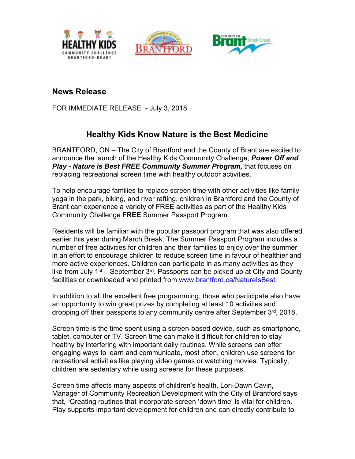





## **News Release**

FOR IMMEDIATE RELEASE - July 3, 2018

## **Healthy Kids Know Nature is the Best Medicine**

BRANTFORD, ON – The City of Brantford and the County of Brant are excited to announce the launch of the Healthy Kids Community Challenge, *Power Off and Play - Nature is Best FREE Community Summer Program,* that focuses on replacing recreational screen time with healthy outdoor activities.

To help encourage families to replace screen time with other activities like family yoga in the park, biking, and river rafting, children in Brantford and the County of Brant can experience a variety of FREE activities as part of the Healthy Kids Community Challenge **FREE** Summer Passport Program.

Residents will be familiar with the popular passport program that was also offered earlier this year during March Break. The Summer Passport Program includes a number of free activities for children and their families to enjoy over the summer in an effort to encourage children to reduce screen time in favour of healthier and more active experiences. Children can participate in as many activities as they like from July 1<sup>st</sup> – September 3<sup>rd</sup>. Passports can be picked up at City and County facilities or downloaded and printed from [www.brantford.ca/NatureIsBest.](http://www.brantford.ca/NatureIsBest)

In addition to all the excellent free programming, those who participate also have an opportunity to win great prizes by completing at least 10 activities and dropping off their passports to any community centre after September 3rd, 2018.

Screen time is the time spent using a screen-based device, such as smartphone, tablet, computer or TV. Screen time can make it difficult for children to stay healthy by interfering with important daily routines. While screens can offer engaging ways to learn and communicate, most often, children use screens for recreational activities like playing video games or watching movies. Typically, children are sedentary while using screens for these purposes.

Screen time affects many aspects of children's health. Lori-Dawn Cavin, Manager of Community Recreation Development with the City of Brantford says that, "Creating routines that incorporate screen 'down time' is vital for children. Play supports important development for children and can directly contribute to